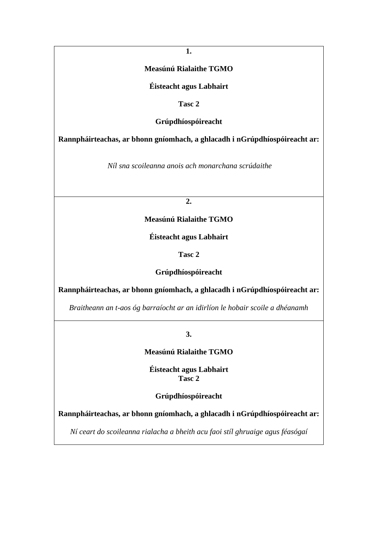**1.**

# **Measúnú Rialaithe TGMO**

**Éisteacht agus Labhairt**

**Tasc 2**

**Grúpdhíospóireacht**

**Rannpháirteachas, ar bhonn gníomhach, a ghlacadh i nGrúpdhíospóireacht ar:**

*Níl sna scoileanna anois ach monarchana scrúdaithe* 

**2.**

**Measúnú Rialaithe TGMO**

**Éisteacht agus Labhairt**

**Tasc 2**

**Grúpdhíospóireacht**

**Rannpháirteachas, ar bhonn gníomhach, a ghlacadh i nGrúpdhíospóireacht ar:**

*Braitheann an t-aos óg barraíocht ar an idirlíon le hobair scoile a dhéanamh*

**3.**

**Measúnú Rialaithe TGMO**

**Éisteacht agus Labhairt Tasc 2**

**Grúpdhíospóireacht**

**Rannpháirteachas, ar bhonn gníomhach, a ghlacadh i nGrúpdhíospóireacht ar:**

*Ní ceart do scoileanna rialacha a bheith acu faoi stíl ghruaige agus féasógaí*